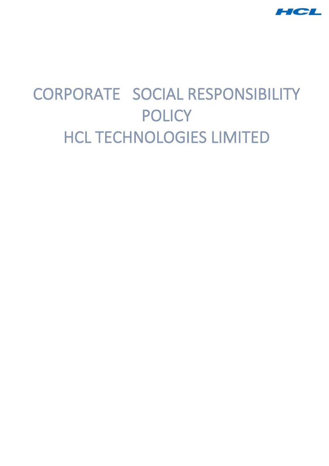

# CORPORATE SOCIAL RESPONSIBILITY POLICY HCL TECHNOLOGIES LIMITED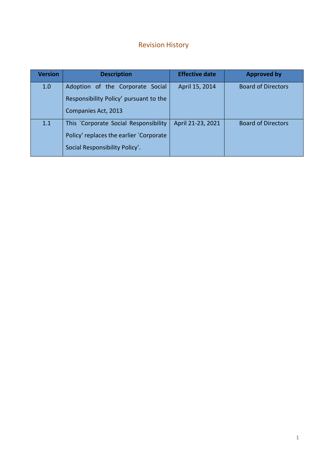# Revision History

| <b>Version</b> | <b>Description</b>                      | <b>Effective date</b> | <b>Approved by</b>        |
|----------------|-----------------------------------------|-----------------------|---------------------------|
| 1.0            | Adoption of the Corporate Social        | April 15, 2014        | <b>Board of Directors</b> |
|                | Responsibility Policy' pursuant to the  |                       |                           |
|                | Companies Act, 2013                     |                       |                           |
| 1.1            | This `Corporate Social Responsibility   | April 21-23, 2021     | <b>Board of Directors</b> |
|                | Policy' replaces the earlier `Corporate |                       |                           |
|                | Social Responsibility Policy'.          |                       |                           |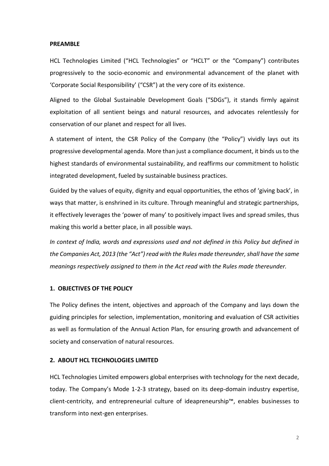#### **PREAMBLE**

HCL Technologies Limited ("HCL Technologies" or "HCLT" or the "Company") contributes progressively to the socio-economic and environmental advancement of the planet with 'Corporate Social Responsibility' ("CSR") at the very core of its existence.

Aligned to the Global Sustainable Development Goals ("SDGs"), it stands firmly against exploitation of all sentient beings and natural resources, and advocates relentlessly for conservation of our planet and respect for all lives.

A statement of intent, the CSR Policy of the Company (the "Policy") vividly lays out its progressive developmental agenda. More than just a compliance document, it binds us to the highest standards of environmental sustainability, and reaffirms our commitment to holistic integrated development, fueled by sustainable business practices.

Guided by the values of equity, dignity and equal opportunities, the ethos of 'giving back', in ways that matter, is enshrined in its culture. Through meaningful and strategic partnerships, it effectively leverages the 'power of many' to positively impact lives and spread smiles, thus making this world a better place, in all possible ways.

*In context of India, words and expressions used and not defined in this Policy but defined in the Companies Act, 2013 (the "Act") read with the Rules made thereunder, shall have the same meanings respectively assigned to them in the Act read with the Rules made thereunder.*

# **1. OBJECTIVES OF THE POLICY**

The Policy defines the intent, objectives and approach of the Company and lays down the guiding principles for selection, implementation, monitoring and evaluation of CSR activities as well as formulation of the Annual Action Plan, for ensuring growth and advancement of society and conservation of natural resources.

#### **2. ABOUT HCL TECHNOLOGIES LIMITED**

HCL Technologies Limited empowers global enterprises with technology for the next decade, today. The Company's Mode 1-2-3 strategy, based on its deep-domain industry expertise, client-centricity, and entrepreneurial culture of ideapreneurship™, enables businesses to transform into next-gen enterprises.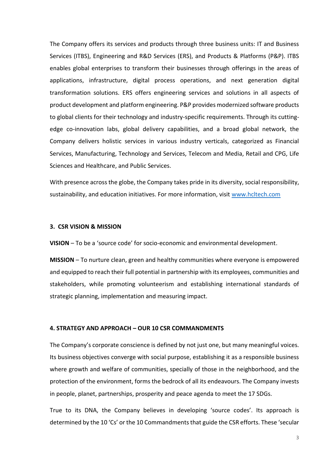The Company offers its services and products through three business units: IT and Business Services (ITBS), Engineering and R&D Services (ERS), and Products & Platforms (P&P). ITBS enables global enterprises to transform their businesses through offerings in the areas of applications, infrastructure, digital process operations, and next generation digital transformation solutions. ERS offers engineering services and solutions in all aspects of product development and platform engineering. P&P provides modernized software products to global clients for their technology and industry-specific requirements. Through its cuttingedge co-innovation labs, global delivery capabilities, and a broad global network, the Company delivers holistic services in various industry verticals, categorized as Financial Services, Manufacturing, Technology and Services, Telecom and Media, Retail and CPG, Life Sciences and Healthcare, and Public Services.

With presence across the globe, the Company takes pride in its diversity, social responsibility, sustainability, and education initiatives. For more information, visit [www.hcltech.com](http://www.hcltech.com/)

#### **3. CSR VISION & MISSION**

**VISION** – To be a 'source code' for socio-economic and environmental development.

**MISSION** – To nurture clean, green and healthy communities where everyone is empowered and equipped to reach their full potential in partnership with its employees, communities and stakeholders, while promoting volunteerism and establishing international standards of strategic planning, implementation and measuring impact.

#### **4. STRATEGY AND APPROACH – OUR 10 CSR COMMANDMENTS**

The Company's corporate conscience is defined by not just one, but many meaningful voices. Its business objectives converge with social purpose, establishing it as a responsible business where growth and welfare of communities, specially of those in the neighborhood, and the protection of the environment, forms the bedrock of all its endeavours. The Company invests in people, planet, partnerships, prosperity and peace agenda to meet the 17 SDGs.

True to its DNA, the Company believes in developing 'source codes'. Its approach is determined by the 10 'Cs' or the 10 Commandments that guide the CSR efforts. These 'secular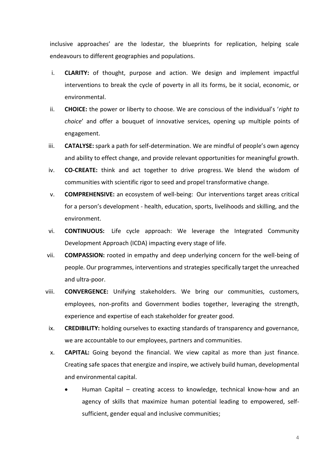inclusive approaches' are the lodestar, the blueprints for replication, helping scale endeavours to different geographies and populations.

- i. **CLARITY:** of thought, purpose and action. We design and implement impactful interventions to break the cycle of poverty in all its forms, be it social, economic, or environmental.
- ii. **CHOICE:** the power or liberty to choose. We are conscious of the individual's '*right to choice*' and offer a bouquet of innovative services, opening up multiple points of engagement.
- iii. **CATALYSE:** spark a path for self-determination. We are mindful of people's own agency and ability to effect change, and provide relevant opportunities for meaningful growth.
- iv. **CO-CREATE:** think and act together to drive progress. We blend the wisdom of communities with scientific rigor to seed and propel transformative change.
- v. **COMPREHENSIVE:** an ecosystem of well-being: Our interventions target areas critical for a person's development - health, education, sports, livelihoods and skilling, and the environment.
- vi. **CONTINUOUS:** Life cycle approach: We leverage the Integrated Community Development Approach (ICDA) impacting every stage of life.
- vii. **COMPASSION:** rooted in empathy and deep underlying concern for the well-being of people. Our programmes, interventions and strategies specifically target the unreached and ultra-poor.
- viii. **CONVERGENCE:** Unifying stakeholders. We bring our communities, customers, employees, non-profits and Government bodies together, leveraging the strength, experience and expertise of each stakeholder for greater good.
	- ix. **CREDIBILITY:** holding ourselves to exacting standards of transparency and governance, we are accountable to our employees, partners and communities.
	- x. **CAPITAL:** Going beyond the financial. We view capital as more than just finance. Creating safe spaces that energize and inspire, we actively build human, developmental and environmental capital.
		- Human Capital creating access to knowledge, technical know-how and an agency of skills that maximize human potential leading to empowered, selfsufficient, gender equal and inclusive communities;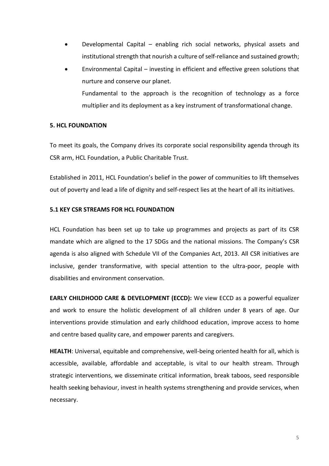- Developmental Capital enabling rich social networks, physical assets and institutional strength that nourish a culture of self-reliance and sustained growth;
- Environmental Capital investing in efficient and effective green solutions that nurture and conserve our planet. Fundamental to the approach is the recognition of technology as a force multiplier and its deployment as a key instrument of transformational change.

#### **5. HCL FOUNDATION**

To meet its goals, the Company drives its corporate social responsibility agenda through its CSR arm, HCL Foundation, a Public Charitable Trust.

Established in 2011, HCL Foundation's belief in the power of communities to lift themselves out of poverty and lead a life of dignity and self-respect lies at the heart of all its initiatives.

#### **5.1 KEY CSR STREAMS FOR HCL FOUNDATION**

HCL Foundation has been set up to take up programmes and projects as part of its CSR mandate which are aligned to the 17 SDGs and the national missions. The Company's CSR agenda is also aligned with Schedule VII of the Companies Act, 2013. All CSR initiatives are inclusive, gender transformative, with special attention to the ultra-poor, people with disabilities and environment conservation.

**EARLY CHILDHOOD CARE & DEVELOPMENT (ECCD):** We view ECCD as a powerful equalizer and work to ensure the holistic development of all children under 8 years of age. Our interventions provide stimulation and early childhood education, improve access to home and centre based quality care, and empower parents and caregivers.

**HEALTH**: Universal, equitable and comprehensive, well-being oriented health for all, which is accessible, available, affordable and acceptable, is vital to our health stream. Through strategic interventions, we disseminate critical information, break taboos, seed responsible health seeking behaviour, invest in health systems strengthening and provide services, when necessary.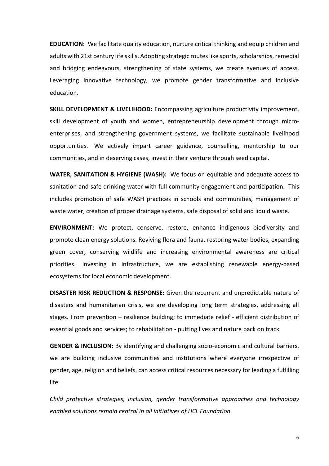**EDUCATION:** We facilitate quality education, nurture critical thinking and equip children and adults with 21st century life skills. Adopting strategic routes like sports, scholarships, remedial and bridging endeavours, strengthening of state systems, we create avenues of access. Leveraging innovative technology, we promote gender transformative and inclusive education.

**SKILL DEVELOPMENT & LIVELIHOOD:** Encompassing agriculture productivity improvement, skill development of youth and women, entrepreneurship development through microenterprises, and strengthening government systems, we facilitate sustainable livelihood opportunities. We actively impart career guidance, counselling, mentorship to our communities, and in deserving cases, invest in their venture through seed capital.

**WATER, SANITATION & HYGIENE (WASH):** We focus on equitable and adequate access to sanitation and safe drinking water with full community engagement and participation. This includes promotion of safe WASH practices in schools and communities, management of waste water, creation of proper drainage systems, safe disposal of solid and liquid waste.

**ENVIRONMENT:** We protect, conserve, restore, enhance indigenous biodiversity and promote clean energy solutions. Reviving flora and fauna, restoring water bodies, expanding green cover, conserving wildlife and increasing environmental awareness are critical priorities. Investing in infrastructure, we are establishing renewable energy-based ecosystems for local economic development.

**DISASTER RISK REDUCTION & RESPONSE:** Given the recurrent and unpredictable nature of disasters and humanitarian crisis, we are developing long term strategies, addressing all stages. From prevention – resilience building; to immediate relief - efficient distribution of essential goods and services; to rehabilitation - putting lives and nature back on track.

**GENDER & INCLUSION:** By identifying and challenging socio-economic and cultural barriers, we are building inclusive communities and institutions where everyone irrespective of gender, age, religion and beliefs, can access critical resources necessary for leading a fulfilling life.

*Child protective strategies, inclusion, gender transformative approaches and technology enabled solutions remain central in all initiatives of HCL Foundation.*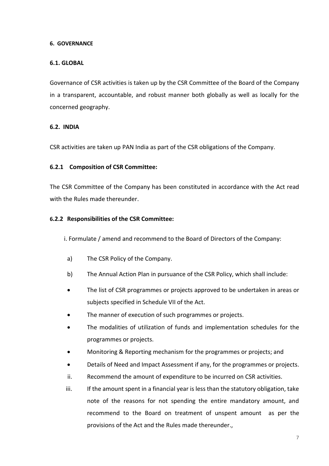#### **6. GOVERNANCE**

#### **6.1. GLOBAL**

Governance of CSR activities is taken up by the CSR Committee of the Board of the Company in a transparent, accountable, and robust manner both globally as well as locally for the concerned geography.

# **6.2. INDIA**

CSR activities are taken up PAN India as part of the CSR obligations of the Company.

# **6.2.1 Composition of CSR Committee:**

The CSR Committee of the Company has been constituted in accordance with the Act read with the Rules made thereunder.

# **6.2.2 Responsibilities of the CSR Committee:**

i. Formulate / amend and recommend to the Board of Directors of the Company:

- a) The CSR Policy of the Company.
- b) The Annual Action Plan in pursuance of the CSR Policy, which shall include:
- The list of CSR programmes or projects approved to be undertaken in areas or subjects specified in Schedule VII of the Act.
- The manner of execution of such programmes or projects.
- The modalities of utilization of funds and implementation schedules for the programmes or projects.
- Monitoring & Reporting mechanism for the programmes or projects; and
- Details of Need and Impact Assessment if any, for the programmes or projects.
- ii. Recommend the amount of expenditure to be incurred on CSR activities.
- iii. If the amount spent in a financial year is less than the statutory obligation, take note of the reasons for not spending the entire mandatory amount, and recommend to the Board on treatment of unspent amount as per the provisions of the Act and the Rules made thereunder.,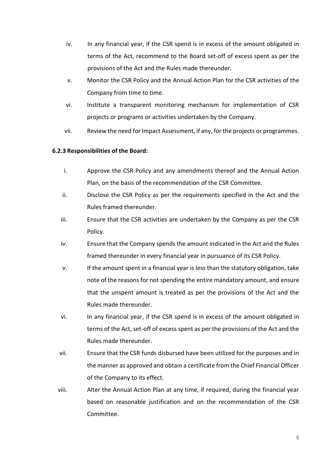- iv. In any financial year, if the CSR spend is in excess of the amount obligated in terms of the Act, recommend to the Board set-off of excess spent as per the provisions of the Act and the Rules made thereunder.
- v. Monitor the CSR Policy and the Annual Action Plan for the CSR activities of the Company from time to time.
- vi. Institute a transparent monitoring mechanism for implementation of CSR projects or programs or activities undertaken by the Company.
- vii. Review the need for Impact Assessment, if any, for the projects or programmes.

# **6.2.3 Responsibilities of the Board:**

- i. Approve the CSR Policy and any amendments thereof and the Annual Action Plan, on the basis of the recommendation of the CSR Committee.
- ii. Disclose the CSR Policy as per the requirements specified in the Act and the Rules framed thereunder.
- iii. Ensure that the CSR activities are undertaken by the Company as per the CSR Policy.
- iv. Ensure that the Company spends the amount indicated in the Act and the Rules framed thereunder in every financial year in pursuance of its CSR Policy.
- v. If the amount spent in a financial year is less than the statutory obligation, take note of the reasons for not spending the entire mandatory amount, and ensure that the unspent amount is treated as per the provisions of the Act and the Rules made thereunder.
- vi. In any financial year, if the CSR spend is in excess of the amount obligated in terms of the Act, set-off of excess spent as per the provisions of the Act and the Rules made thereunder.
- vii. Ensure that the CSR funds disbursed have been utilized for the purposes and in the manner as approved and obtain a certificate from the Chief Financial Officer of the Company to its effect.
- viii. Alter the Annual Action Plan at any time, if required, during the financial year based on reasonable justification and on the recommendation of the CSR Committee.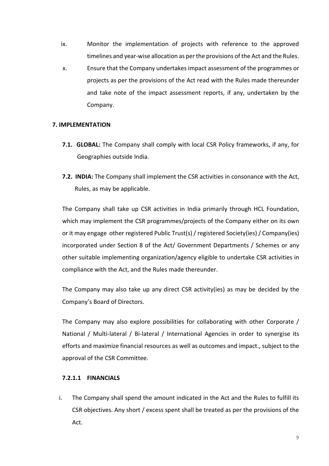- ix. Monitor the implementation of projects with reference to the approved timelines and year-wise allocation as per the provisions of the Act and the Rules.
- x. Ensure that the Company undertakes impact assessment of the programmes or projects as per the provisions of the Act read with the Rules made thereunder and take note of the impact assessment reports, if any, undertaken by the Company.

# **7. IMPLEMENTATION**

- **7.1. GLOBAL:** The Company shall comply with local CSR Policy frameworks, if any, for Geographies outside India.
- **7.2. INDIA:** The Company shall implement the CSR activities in consonance with the Act, Rules, as may be applicable.

The Company shall take up CSR activities in India primarily through HCL Foundation, which may implement the CSR programmes/projects of the Company either on its own or it may engage other registered Public Trust(s)/ registered Society(ies) / Company(ies) incorporated under Section 8 of the Act/ Government Departments / Schemes or any other suitable implementing organization/agency eligible to undertake CSR activities in compliance with the Act, and the Rules made thereunder.

The Company may also take up any direct CSR activity(ies) as may be decided by the Company's Board of Directors.

The Company may also explore possibilities for collaborating with other Corporate / National / Multi-lateral / Bi-lateral / International Agencies in order to synergise its efforts and maximize financial resources as well as outcomes and impact., subject to the approval of the CSR Committee.

#### **7.2.1.1 FINANCIALS**

i. The Company shall spend the amount indicated in the Act and the Rules to fulfill its CSR objectives. Any short / excess spent shall be treated as per the provisions of the Act.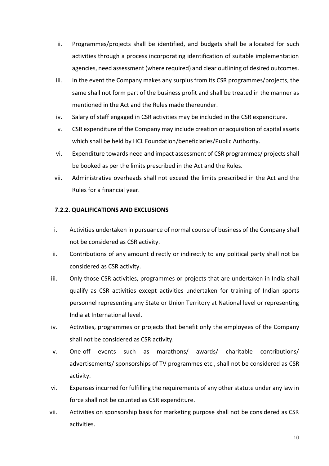- ii. Programmes/projects shall be identified, and budgets shall be allocated for such activities through a process incorporating identification of suitable implementation agencies, need assessment (where required) and clear outlining of desired outcomes.
- iii. In the event the Company makes any surplus from its CSR programmes/projects, the same shall not form part of the business profit and shall be treated in the manner as mentioned in the Act and the Rules made thereunder.
- iv. Salary of staff engaged in CSR activities may be included in the CSR expenditure.
- v. CSR expenditure of the Company may include creation or acquisition of capital assets which shall be held by HCL Foundation/beneficiaries/Public Authority.
- vi. Expenditure towards need and impact assessment of CSR programmes/ projects shall be booked as per the limits prescribed in the Act and the Rules.
- vii. Administrative overheads shall not exceed the limits prescribed in the Act and the Rules for a financial year.

# **7.2.2. QUALIFICATIONS AND EXCLUSIONS**

- i. Activities undertaken in pursuance of normal course of business of the Company shall not be considered as CSR activity.
- ii. Contributions of any amount directly or indirectly to any political party shall not be considered as CSR activity.
- iii. Only those CSR activities, programmes or projects that are undertaken in India shall qualify as CSR activities except activities undertaken for training of Indian sports personnel representing any State or Union Territory at National level or representing India at International level.
- iv. Activities, programmes or projects that benefit only the employees of the Company shall not be considered as CSR activity.
- v. One-off events such as marathons/ awards/ charitable contributions/ advertisements/ sponsorships of TV programmes etc., shall not be considered as CSR activity.
- vi. Expenses incurred for fulfilling the requirements of any other statute under any law in force shall not be counted as CSR expenditure.
- vii. Activities on sponsorship basis for marketing purpose shall not be considered as CSR activities.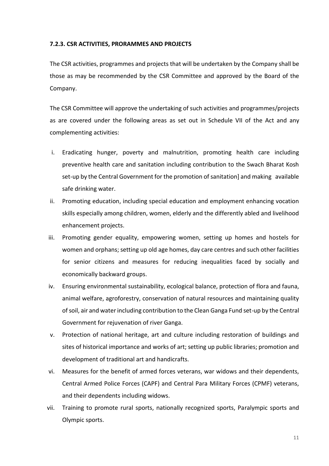#### **7.2.3. CSR ACTIVITIES, PRORAMMES AND PROJECTS**

The CSR activities, programmes and projects that will be undertaken by the Company shall be those as may be recommended by the CSR Committee and approved by the Board of the Company.

The CSR Committee will approve the undertaking of such activities and programmes/projects as are covered under the following areas as set out in Schedule VII of the Act and any complementing activities:

- i. Eradicating hunger, poverty and malnutrition, promoting health care including preventive health care and sanitation including contribution to the Swach Bharat Kosh set-up by the Central Government for the promotion of sanitation] and making available safe drinking water.
- ii. Promoting education, including special education and employment enhancing vocation skills especially among children, women, elderly and the differently abled and livelihood enhancement projects.
- iii. Promoting gender equality, empowering women, setting up homes and hostels for women and orphans; setting up old age homes, day care centres and such other facilities for senior citizens and measures for reducing inequalities faced by socially and economically backward groups.
- iv. Ensuring environmental sustainability, ecological balance, protection of flora and fauna, animal welfare, agroforestry, conservation of natural resources and maintaining quality of soil, air and water including contribution to the Clean Ganga Fund set-up by the Central Government for rejuvenation of river Ganga.
- v. Protection of national heritage, art and culture including restoration of buildings and sites of historical importance and works of art; setting up public libraries; promotion and development of traditional art and handicrafts.
- vi. Measures for the benefit of armed forces veterans, war widows and their dependents, Central Armed Police Forces (CAPF) and Central Para Military Forces (CPMF) veterans, and their dependents including widows.
- vii. Training to promote rural sports, nationally recognized sports, Paralympic sports and Olympic sports.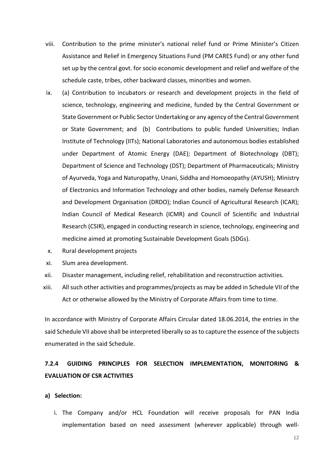- viii. Contribution to the prime minister's national relief fund or Prime Minister's Citizen Assistance and Relief in Emergency Situations Fund (PM CARES Fund) or any other fund set up by the central govt. for socio economic development and relief and welfare of the schedule caste, tribes, other backward classes, minorities and women.
- ix. (a) Contribution to incubators or research and development projects in the field of science, technology, engineering and medicine, funded by the Central Government or State Government or Public Sector Undertaking or any agency of the Central Government or State Government; and (b) Contributions to public funded Universities; Indian Institute of Technology (IITs); National Laboratories and autonomous bodies established under Department of Atomic Energy (DAE); Department of Biotechnology (DBT); Department of Science and Technology (DST); Department of Pharmaceuticals; Ministry of Ayurveda, Yoga and Naturopathy, Unani, Siddha and Homoeopathy (AYUSH); Ministry of Electronics and Information Technology and other bodies, namely Defense Research and Development Organisation (DRDO); Indian Council of Agricultural Research (ICAR); Indian Council of Medical Research (ICMR) and Council of Scientific and Industrial Research (CSIR), engaged in conducting research in science, technology, engineering and medicine aimed at promoting Sustainable Development Goals (SDGs).
- x. Rural development projects
- xi. Slum area development.
- xii. Disaster management, including relief, rehabilitation and reconstruction activities.
- xiii. All such other activities and programmes/projects as may be added in Schedule VII of the Act or otherwise allowed by the Ministry of Corporate Affairs from time to time.

In accordance with Ministry of Corporate Affairs Circular dated 18.06.2014, the entries in the said Schedule VII above shall be interpreted liberally so as to capture the essence of the subjects enumerated in the said Schedule.

# **7.2.4 GUIDING PRINCIPLES FOR SELECTION IMPLEMENTATION, MONITORING & EVALUATION OF CSR ACTIVITIES**

- **a) Selection:** 
	- i. The Company and/or HCL Foundation will receive proposals for PAN India implementation based on need assessment (wherever applicable) through well-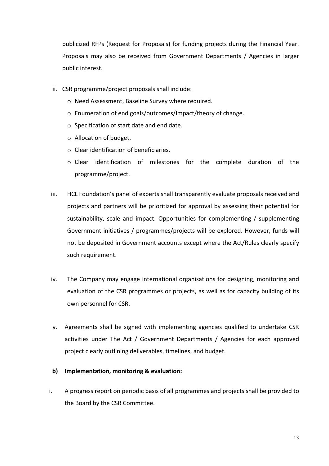publicized RFPs (Request for Proposals) for funding projects during the Financial Year. Proposals may also be received from Government Departments / Agencies in larger public interest.

- ii. CSR programme/project proposals shall include:
	- o Need Assessment, Baseline Survey where required.
	- o Enumeration of end goals/outcomes/Impact/theory of change.
	- o Specification of start date and end date.
	- o Allocation of budget.
	- o Clear identification of beneficiaries.
	- o Clear identification of milestones for the complete duration of the programme/project.
- iii. HCL Foundation's panel of experts shall transparently evaluate proposals received and projects and partners will be prioritized for approval by assessing their potential for sustainability, scale and impact. Opportunities for complementing / supplementing Government initiatives / programmes/projects will be explored. However, funds will not be deposited in Government accounts except where the Act/Rules clearly specify such requirement.
- iv. The Company may engage international organisations for designing, monitoring and evaluation of the CSR programmes or projects, as well as for capacity building of its own personnel for CSR.
- v. Agreements shall be signed with implementing agencies qualified to undertake CSR activities under The Act / Government Departments / Agencies for each approved project clearly outlining deliverables, timelines, and budget.

#### **b) Implementation, monitoring & evaluation:**

i. A progress report on periodic basis of all programmes and projects shall be provided to the Board by the CSR Committee.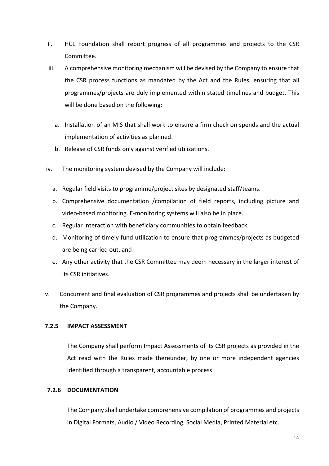- ii. HCL Foundation shall report progress of all programmes and projects to the CSR Committee.
- iii. A comprehensive monitoring mechanism will be devised by the Company to ensure that the CSR process functions as mandated by the Act and the Rules, ensuring that all programmes/projects are duly implemented within stated timelines and budget. This will be done based on the following:
	- a. Installation of an MIS that shall work to ensure a firm check on spends and the actual implementation of activities as planned.
	- b. Release of CSR funds only against verified utilizations.
- iv. The monitoring system devised by the Company will include:
	- a. Regular field visits to programme/project sites by designated staff/teams.
	- b. Comprehensive documentation /compilation of field reports, including picture and video-based monitoring. E-monitoring systems will also be in place.
	- c. Regular interaction with beneficiary communities to obtain feedback.
	- d. Monitoring of timely fund utilization to ensure that programmes/projects as budgeted are being carried out, and
	- e. Any other activity that the CSR Committee may deem necessary in the larger interest of its CSR initiatives.
- v. Concurrent and final evaluation of CSR programmes and projects shall be undertaken by the Company.

#### **7.2.5 IMPACT ASSESSMENT**

The Company shall perform Impact Assessments of its CSR projects as provided in the Act read with the Rules made thereunder, by one or more independent agencies identified through a transparent, accountable process.

#### **7.2.6 DOCUMENTATION**

The Company shall undertake comprehensive compilation of programmes and projects in Digital Formats, Audio / Video Recording, Social Media, Printed Material etc.